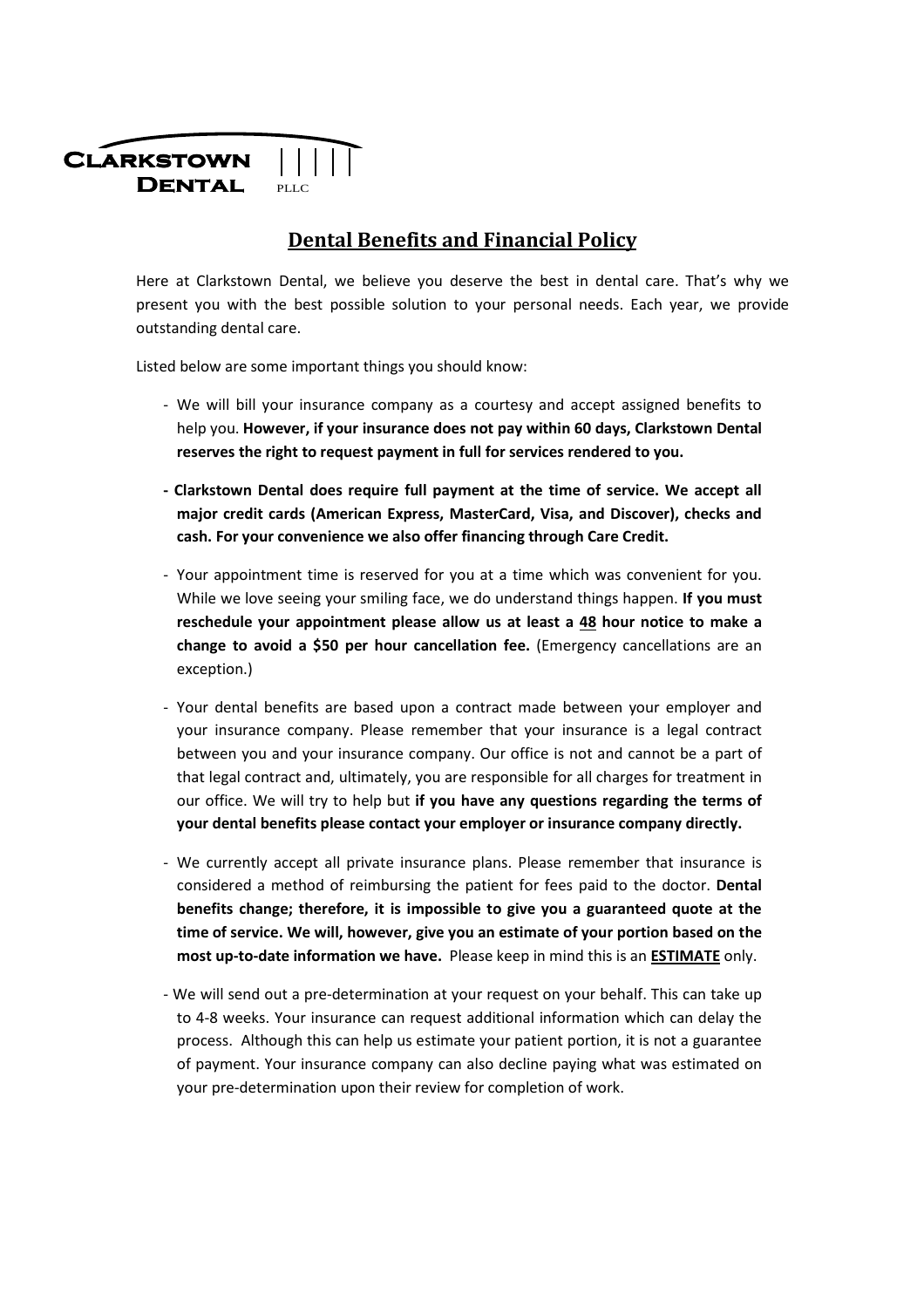

## **Dental Benefits and Financial Policy**

Here at Clarkstown Dental, we believe you deserve the best in dental care. That's why we present you with the best possible solution to your personal needs. Each year, we provide outstanding dental care.

Listed below are some important things you should know:

- We will bill your insurance company as a courtesy and accept assigned benefits to help you. **However, if your insurance does not pay within 60 days, Clarkstown Dental reserves the right to request payment in full for services rendered to you.**
- **Clarkstown Dental does require full payment at the time of service. We accept all major credit cards (American Express, MasterCard, Visa, and Discover), checks and cash. For your convenience we also offer financing through Care Credit.**
- Your appointment time is reserved for you at a time which was convenient for you. While we love seeing your smiling face, we do understand things happen. **If you must reschedule your appointment please allow us at least a 48 hour notice to make a change to avoid a \$50 per hour cancellation fee.** (Emergency cancellations are an exception.)
- Your dental benefits are based upon a contract made between your employer and your insurance company. Please remember that your insurance is a legal contract between you and your insurance company. Our office is not and cannot be a part of that legal contract and, ultimately, you are responsible for all charges for treatment in our office. We will try to help but **if you have any questions regarding the terms of your dental benefits please contact your employer or insurance company directly.**
- We currently accept all private insurance plans. Please remember that insurance is considered a method of reimbursing the patient for fees paid to the doctor. **Dental benefits change; therefore, it is impossible to give you a guaranteed quote at the time of service. We will, however, give you an estimate of your portion based on the most up-to-date information we have.** Please keep in mind this is an **ESTIMATE** only.
- We will send out a pre-determination at your request on your behalf. This can take up to 4-8 weeks. Your insurance can request additional information which can delay the process. Although this can help us estimate your patient portion, it is not a guarantee of payment. Your insurance company can also decline paying what was estimated on your pre-determination upon their review for completion of work.